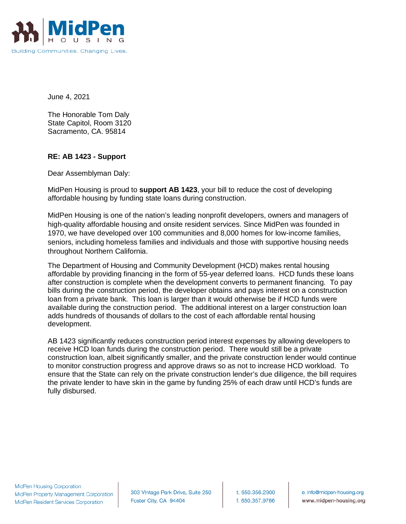

June 4, 2021

The Honorable Tom Daly State Capitol, Room 3120 Sacramento, CA. 95814

## **RE: AB 1423 - Support**

Dear Assemblyman Daly:

MidPen Housing is proud to **support AB 1423**, your bill to reduce the cost of developing affordable housing by funding state loans during construction.

MidPen Housing is one of the nation's leading nonprofit developers, owners and managers of high-quality affordable housing and onsite resident services. Since MidPen was founded in 1970, we have developed over 100 communities and 8,000 homes for low-income families, seniors, including homeless families and individuals and those with supportive housing needs throughout Northern California.

The Department of Housing and Community Development (HCD) makes rental housing affordable by providing financing in the form of 55-year deferred loans. HCD funds these loans after construction is complete when the development converts to permanent financing. To pay bills during the construction period, the developer obtains and pays interest on a construction loan from a private bank. This loan is larger than it would otherwise be if HCD funds were available during the construction period. The additional interest on a larger construction loan adds hundreds of thousands of dollars to the cost of each affordable rental housing development.

AB 1423 significantly reduces construction period interest expenses by allowing developers to receive HCD loan funds during the construction period. There would still be a private construction loan, albeit significantly smaller, and the private construction lender would continue to monitor construction progress and approve draws so as not to increase HCD workload. To ensure that the State can rely on the private construction lender's due diligence, the bill requires the private lender to have skin in the game by funding 25% of each draw until HCD's funds are fully disbursed.

303 Vintage Park Drive, Suite 250 Foster City, CA 94404

t. 650.356.2900 f. 650.357.9766

e. info@midpen-housing.org www.midpen-housing.org